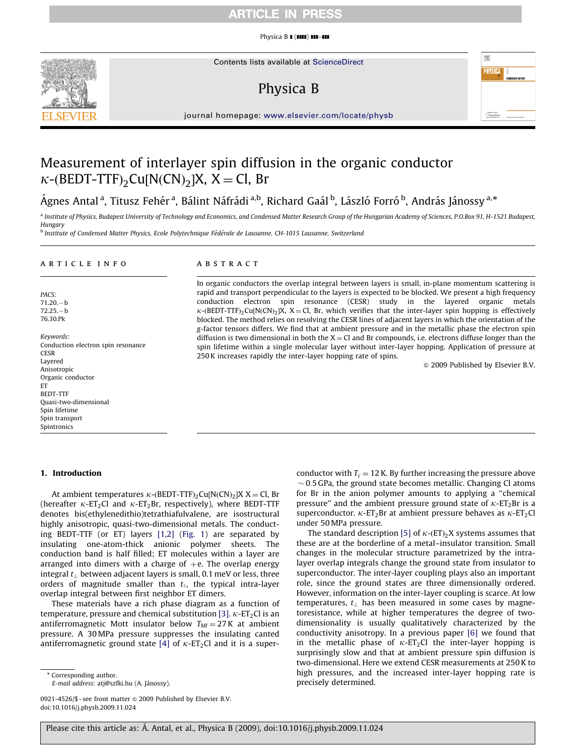### ARTICLE IN PRESS

Physica B **1 (1111) 111-111** 



Contents lists available at ScienceDirect

# Physica B



journal homepage: <www.elsevier.com/locate/physb>

## Measurement of interlayer spin diffusion in the organic conductor  $\kappa$ -(BEDT-TTF)<sub>2</sub>Cu[N(CN)<sub>2</sub>]X, X = Cl, Br

Ágnes Antal <sup>a</sup>, Titusz Fehér <sup>a</sup>, Bálint Náfrádi <sup>a,b</sup>, Richard Gaál <sup>b</sup>, László Forró <sup>b</sup>, András Jánossy <sup>a,</sup>\*

<sup>a</sup> Institute of Physics, Budapest University of Technology and Economics, and Condensed Matter Research Group of the Hungarian Academy of Sciences, P.O.Box 91, H-1521 Budapest, Hungary

<sup>b</sup> Institute of Condensed Matter Physics, Ecole Polytechnique Fédérale de Lausanne, CH-1015 Lausanne, Switzerland

#### article info

PACS:  $71.20 - b$  $72.25-h$ 76.30.Pk

Keywords: Conduction electron spin resonance **CESR** Layered Anisotropic Organic conductor ET BEDT-TTF Quasi-two-dimensional Spin lifetime Spin transport Spintronics

#### 1. Introduction

At ambient temperatures  $\kappa$ -(BEDT-TTF)<sub>2</sub>Cu[N(CN)<sub>2</sub>]X X = Cl, Br (hereafter  $\kappa$ -ET<sub>2</sub>Cl and  $\kappa$ -ET<sub>2</sub>Br, respectively), where BEDT-TTF denotes bis(ethylenedithio)tetrathiafulvalene, are isostructural highly anisotropic, quasi-two-dimensional metals. The conducting BEDT-TTF (or ET) layers [\[1,2\]](#page-3-0) ([Fig. 1](#page-1-0)) are separated by insulating one-atom-thick anionic polymer sheets. The conduction band is half filled; ET molecules within a layer are arranged into dimers with a charge of  $+e$ . The overlap energy integral  $t_{\perp}$  between adjacent layers is small, 0.1 meV or less, three orders of magnitude smaller than  $t_{\parallel}$ , the typical intra-layer overlap integral between first neighbor ET dimers.

These materials have a rich phase diagram as a function of temperature, pressure and chemical substitution [\[3\].](#page-3-0)  $\kappa$ -ET<sub>2</sub>Cl is an antiferromagnetic Mott insulator below  $T_M = 27$  K at ambient pressure. A 30 MPa pressure suppresses the insulating canted antiferromagnetic ground state [\[4\]](#page-3-0) of  $\kappa$ -ET<sub>2</sub>Cl and it is a super-

\* Corresponding author.

E-mail address: atj@szfki.hu (A. Jánossy).

0921-4526/\$ - see front matter  $\odot$  2009 Published by Elsevier B.V. doi:[10.1016/j.physb.2009.11.024](dx.doi.org/10.1016/j.physb.2009.11.024)

#### **ABSTRACT**

In organic conductors the overlap integral between layers is small, in-plane momentum scattering is rapid and transport perpendicular to the layers is expected to be blocked. We present a high frequency conduction electron spin resonance (CESR) study in the layered organic metals  $\kappa$ -(BEDT-TTF)<sub>2</sub>Cu[N(CN)<sub>2</sub>]X, X = Cl, Br, which verifies that the inter-layer spin hopping is effectively blocked. The method relies on resolving the CESR lines of adjacent layers in which the orientation of the g-factor tensors differs. We find that at ambient pressure and in the metallic phase the electron spin diffusion is two dimensional in both the  $X = Cl$  and Br compounds, i.e. electrons diffuse longer than the spin lifetime within a single molecular layer without inter-layer hopping. Application of pressure at 250 K increases rapidly the inter-layer hopping rate of spins.

 $\odot$  2009 Published by Elsevier B.V.

conductor with  $T_c = 12$  K. By further increasing the pressure above  $\sim$  0.5 GPa, the ground state becomes metallic. Changing Cl atoms for Br in the anion polymer amounts to applying a ''chemical pressure" and the ambient pressure ground state of  $\kappa$ -ET<sub>2</sub>Br is a superconductor.  $\kappa$ -ET<sub>2</sub>Br at ambient pressure behaves as  $\kappa$ -ET<sub>2</sub>Cl under 50 MPa pressure.

The standard description [\[5\]](#page-3-0) of  $\kappa$ -(ET)<sub>2</sub>X systems assumes that these are at the borderline of a metal–insulator transition. Small changes in the molecular structure parametrized by the intralayer overlap integrals change the ground state from insulator to superconductor. The inter-layer coupling plays also an important role, since the ground states are three dimensionally ordered. However, information on the inter-layer coupling is scarce. At low temperatures,  $t_{\perp}$  has been measured in some cases by magnetoresistance, while at higher temperatures the degree of twodimensionality is usually qualitatively characterized by the conductivity anisotropy. In a previous paper [\[6\]](#page-3-0) we found that in the metallic phase of  $\kappa$ -ET<sub>2</sub>Cl the inter-layer hopping is surprisingly slow and that at ambient pressure spin diffusion is two-dimensional. Here we extend CESR measurements at 250 K to high pressures, and the increased inter-layer hopping rate is precisely determined.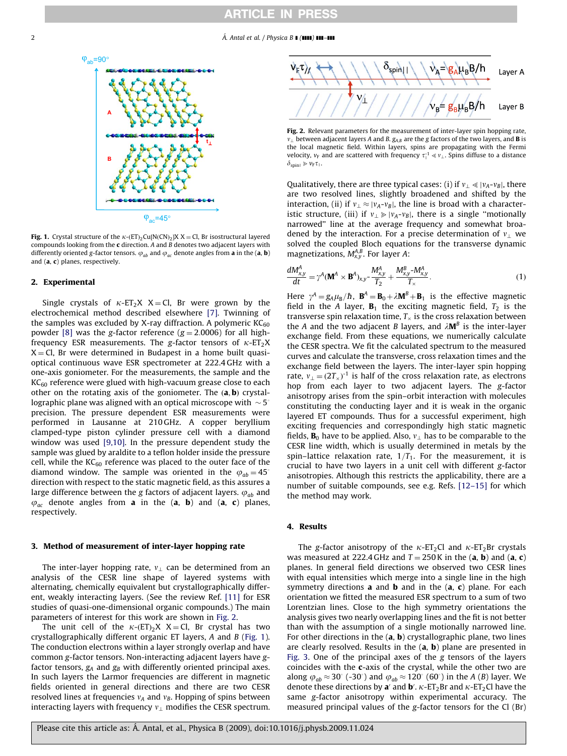<span id="page-1-0"></span>

**Fig. 1.** Crystal structure of the  $\kappa$ -(ET)<sub>2</sub>Cu[N(CN)<sub>2</sub>]X X = Cl, Br isostructural layered compounds looking from the **c** direction. A and  $\overrightarrow{B}$  denotes two adjacent layers with differently oriented g-factor tensors.  $\varphi_{ab}$  and  $\varphi_{ac}$  denote angles from **a** in the (**a**, **b**) and (a, c) planes, respectively.

#### 2. Experimental

Single crystals of  $\kappa$ -ET<sub>2</sub>X X = Cl, Br were grown by the electrochemical method described elsewhere [\[7\].](#page-3-0) Twinning of the samples was excluded by X-ray diffraction. A polymeric  $KC_{60}$ powder [\[8\]](#page-3-0) was the g-factor reference ( $g = 2.0006$ ) for all highfrequency ESR measurements. The g-factor tensors of  $\kappa$ -ET<sub>2</sub>X  $X = Cl$ , Br were determined in Budapest in a home built quasioptical continuous wave ESR spectrometer at 222.4 GHz with a one-axis goniometer. For the measurements, the sample and the  $KC<sub>60</sub>$  reference were glued with high-vacuum grease close to each other on the rotating axis of the goniometer. The  $(a, b)$  crystallographic plane was aligned with an optical microscope with  $\sim$  5 $^{\circ}$ precision. The pressure dependent ESR measurements were performed in Lausanne at 210 GHz. A copper beryllium clamped-type piston cylinder pressure cell with a diamond window was used [\[9,10\]](#page-3-0). In the pressure dependent study the sample was glued by araldite to a teflon holder inside the pressure cell, while the  $KC_{60}$  reference was placed to the outer face of the diamond window. The sample was oriented in the  $\varphi_{ab} = 45^\circ$ direction with respect to the static magnetic field, as this assures a large difference between the g factors of adjacent layers.  $\varphi_{ab}$  and  $\varphi_{ac}$  denote angles from **a** in the (**a**, **b**) and (**a**, **c**) planes, respectively.

#### 3. Method of measurement of inter-layer hopping rate

The inter-layer hopping rate,  $v_{\perp}$  can be determined from an analysis of the CESR line shape of layered systems with alternating, chemically equivalent but crystallographically different, weakly interacting layers. (See the review Ref. [\[11\]](#page-3-0) for ESR studies of quasi-one-dimensional organic compounds.) The main parameters of interest for this work are shown in Fig. 2.

The unit cell of the  $\kappa$ - $ET$ <sub>2</sub>X X = Cl, Br crystal has two crystallographically different organic ET layers, A and B (Fig. 1). The conduction electrons within a layer strongly overlap and have common g-factor tensors. Non-interacting adjacent layers have gfactor tensors,  $g_A$  and  $g_B$  with differently oriented principal axes. In such layers the Larmor frequencies are different in magnetic fields oriented in general directions and there are two CESR resolved lines at frequencies  $v_A$  and  $v_B$ . Hopping of spins between interacting layers with frequency  $v_{\perp}$  modifies the CESR spectrum.



Fig. 2. Relevant parameters for the measurement of inter-layer spin hopping rate,  $v_{\perp}$  between adjacent layers A and B.  $g_{AB}$  are the g factors of the two layers, and **B** is the local magnetic field. Within layers, spins are propagating with the Fermi velocity,  $v_F$  and are scattered with frequency  $\tau_{\parallel}^{-1} \ll v_{\perp}$ . Spins diffuse to a distance  $\delta_{\text{spin}\parallel}\gg v_{\text{F}}\tau_{\parallel}$ .

Qualitatively, there are three typical cases: (i) if  $v_{\perp} \ll |v_A-v_B|$ , there are two resolved lines, slightly broadened and shifted by the interaction, (ii) if  $v_{\perp} \approx |v_A-v_B|$ , the line is broad with a characteristic structure, (iii) if  $v_{\perp} \gg |v_A-v_B|$ , there is a single "motionally narrowed'' line at the average frequency and somewhat broadened by the interaction. For a precise determination of  $v_1$  we solved the coupled Bloch equations for the transverse dynamic magnetizations,  $M_{x,y}^{A,B}$ . For layer A:

$$
\frac{dM_{x,y}^A}{dt} = \gamma^A (\mathbf{M}^A \times \mathbf{B}^A)_{x,y} - \frac{M_{x,y}^A}{T_2} + \frac{M_{x,y}^B - M_{x,y}^A}{T_\times}.
$$
\n(1)

Here  $\gamma^A = g_A \mu_B / \hbar$ ,  $\mathbf{B}^A = \mathbf{B}_0 + \lambda \mathbf{M}^B + \mathbf{B}_1$  is the effective magnetic field in the A layer,  $B_1$  the exciting magnetic field,  $T_2$  is the transverse spin relaxation time,  $T_{\times}$  is the cross relaxation between the A and the two adjacent B layers, and  $\lambda \mathbf{M}^B$  is the inter-layer exchange field. From these equations, we numerically calculate the CESR spectra. We fit the calculated spectrum to the measured curves and calculate the transverse, cross relaxation times and the exchange field between the layers. The inter-layer spin hopping rate,  $v_{\perp} = (2T_{\times})^{-1}$  is half of the cross relaxation rate, as electrons hop from each layer to two adjacent layers. The g-factor anisotropy arises from the spin–orbit interaction with molecules constituting the conducting layer and it is weak in the organic layered ET compounds. Thus for a successful experiment, high exciting frequencies and correspondingly high static magnetic fields,  $\mathbf{B}_0$  have to be applied. Also,  $v_1$  has to be comparable to the CESR line width, which is usually determined in metals by the spin–lattice relaxation rate,  $1/T_1$ . For the measurement, it is crucial to have two layers in a unit cell with different g-factor anisotropies. Although this restricts the applicability, there are a number of suitable compounds, see e.g. Refs. [\[12–15\]](#page-3-0) for which the method may work.

#### 4. Results

The g-factor anisotropy of the  $\kappa$ -ET<sub>2</sub>Cl and  $\kappa$ -ET<sub>2</sub>Br crystals was measured at 222.4 GHz and  $T = 250$  K in the (a, b) and (a, c) planes. In general field directions we observed two CESR lines with equal intensities which merge into a single line in the high symmetry directions **a** and **b** and in the  $(a, c)$  plane. For each orientation we fitted the measured ESR spectrum to a sum of two Lorentzian lines. Close to the high symmetry orientations the analysis gives two nearly overlapping lines and the fit is not better than with the assumption of a single motionally narrowed line. For other directions in the  $(a, b)$  crystallographic plane, two lines are clearly resolved. Results in the  $(a, b)$  plane are presented in [Fig. 3.](#page-2-0) One of the principal axes of the g tensors of the layers coincides with the c-axis of the crystal, while the other two are along  $\varphi_{ab} \approx 30^\circ$  (-30°) and  $\varphi_{ab} \approx 120^\circ$  (60°) in the A (B) layer. We denote these directions by a' and **b'**.  $\kappa$ -ET<sub>2</sub>Br and  $\kappa$ -ET<sub>2</sub>Cl have the same g-factor anisotropy within experimental accuracy. The measured principal values of the g-factor tensors for the Cl (Br)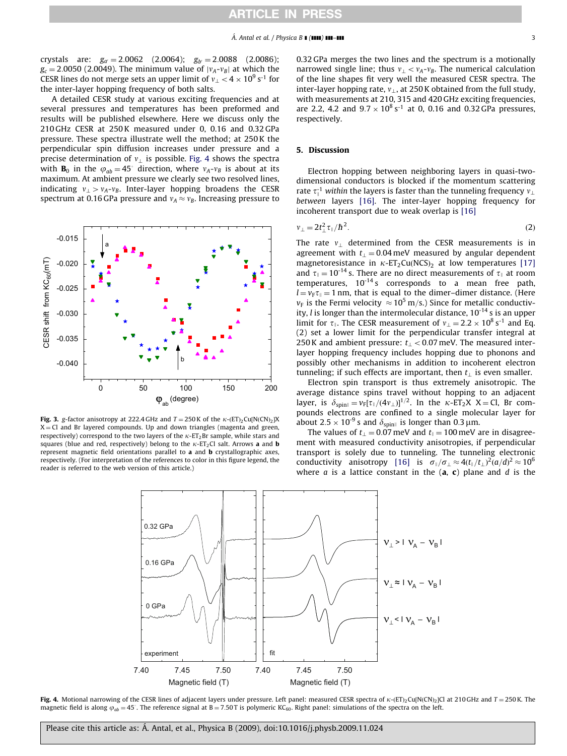<span id="page-2-0"></span>crystals are:  $g_{a'} = 2.0062$  (2.0064);  $g_{b'} = 2.0088$  (2.0086);  $g_c = 2.0050$  (2.0049). The minimum value of  $|v_A-v_B|$  at which the CESR lines do not merge sets an upper limit of  $v_{\perp}$   $<$  4  $\times$  10<sup>9</sup> s<sup>-1</sup> for the inter-layer hopping frequency of both salts.

A detailed CESR study at various exciting frequencies and at several pressures and temperatures has been preformed and results will be published elsewhere. Here we discuss only the 210 GHz CESR at 250 K measured under 0, 0.16 and 0.32 GPa pressure. These spectra illustrate well the method; at 250 K the perpendicular spin diffusion increases under pressure and a precise determination of  $v_1$  is possible. Fig. 4 shows the spectra with **B**<sub>0</sub> in the  $\varphi_{ab} = 45^\circ$  direction, where  $v_A - v_B$  is about at its maximum. At ambient pressure we clearly see two resolved lines, indicating  $v_1 > v_A-v_B$ . Inter-layer hopping broadens the CESR spectrum at 0.16 GPa pressure and  $v_A \approx v_B$ . Increasing pressure to



**Fig. 3.** g-factor anisotropy at 222.4 GHz and  $T = 250$  K of the  $\kappa$ - $E\Gamma$ <sub>2</sub>Cu[N(CN)<sub>2</sub>]X  $X = Cl$  and Br layered compounds. Up and down triangles (magenta and green, respectively) correspond to the two layers of the  $\kappa$ -ET<sub>2</sub>Br sample, while stars and squares (blue and red, respectively) belong to the  $\kappa$ -ET<sub>2</sub>Cl salt. Arrows **a** and **b** represent magnetic field orientations parallel to  $\bf{a}$  and  $\bf{b}$  crystallographic axes, respectively. (For interpretation of the references to color in this figure legend, the reader is referred to the web version of this article.)

0.32 GPa merges the two lines and the spectrum is a motionally narrowed single line; thus  $v_{\perp} < v_A-v_B$ . The numerical calculation of the line shapes fit very well the measured CESR spectra. The inter-layer hopping rate,  $v_{\perp}$ , at 250 K obtained from the full study, with measurements at 210, 315 and 420 GHz exciting frequencies, are 2.2, 4.2 and  $9.7 \times 10^8 \text{ s}^{-1}$  at 0, 0.16 and 0.32 GPa pressures, respectively.

### 5. Discussion

Electron hopping between neighboring layers in quasi-twodimensional conductors is blocked if the momentum scattering rate  $\tau_{\parallel}^{-1}$  within the layers is faster than the tunneling frequency  $v_{\perp}$ between layers [\[16\].](#page-3-0) The inter-layer hopping frequency for incoherent transport due to weak overlap is [\[16\]](#page-3-0)

$$
v_{\perp} = 2t_{\perp}^2 \tau_{\parallel}/\hbar^2. \tag{2}
$$

The rate  $v_{\perp}$  determined from the CESR measurements is in agreement with  $t<sub>1</sub> = 0.04$  meV measured by angular dependent magnetoresistance in  $\kappa$ -ET<sub>2</sub>Cu(NCS)<sub>2</sub> at low temperatures [\[17\]](#page-3-0) and  $\tau_{\parallel} = 10^{-14}$  s. There are no direct measurements of  $\tau_{\parallel}$  at room temperatures,  $10^{-14}$  s corresponds to a mean free path,  $l = v_F \tau_{\parallel} = 1$  nm, that is equal to the dimer–dimer distance. (Here  $v_F$  is the Fermi velocity  $\approx 10^5$  m/s.) Since for metallic conductivity,  $l$  is longer than the intermolecular distance,  $10^{-14}$  s is an upper limit for  $\tau_{\parallel}$ . The CESR measurement of  $v_{\perp} = 2.2 \times 10^8 \text{ s}^{-1}$  and Eq. (2) set a lower limit for the perpendicular transfer integral at 250 K and ambient pressure:  $t_{\perp}$  < 0.07 meV. The measured interlayer hopping frequency includes hopping due to phonons and possibly other mechanisms in addition to incoherent electron tunneling; if such effects are important, then  $t_1$  is even smaller.

Electron spin transport is thus extremely anisotropic. The average distance spins travel without hopping to an adjacent layer, is  $\delta_{\text{spin}} = v_F [\tau_{\parallel}/(4v_{\perp})]^{1/2}$ . In the  $\kappa$ -ET<sub>2</sub>X X = Cl, Br compounds electrons are confined to a single molecular layer for about  $2.5 \times 10^{-9}$  s and  $\delta_{\text{spin}\parallel}$  is longer than 0.3 µm.

The values of  $t_{\perp} = 0.07$  meV and  $t_{\parallel} = 100$  meV are in disagreement with measured conductivity anisotropies, if perpendicular transport is solely due to tunneling. The tunneling electronic conductivity anisotropy [\[16\]](#page-3-0) is  $\sigma_{\parallel}/\sigma_{\perp} \approx 4(t_{\parallel}/t_{\perp})^2(a/d)^2 \approx 10^6$ where  $a$  is a lattice constant in the  $(a, c)$  plane and  $d$  is the



**Fig. 4.** Motional narrowing of the CESR lines of adjacent layers under pressure. Left panel: measured CESR spectra of  $\kappa$ -(ET)<sub>2</sub>Cu[N(CN)<sub>2</sub>]Cl at 210 GHz and  $T=$  250 K. The magnetic field is along  $\varphi_{ab} = 45^\circ$ . The reference signal at B = 7.50T is polymeric KC<sub>60</sub>. Right panel: simulations of the spectra on the left.